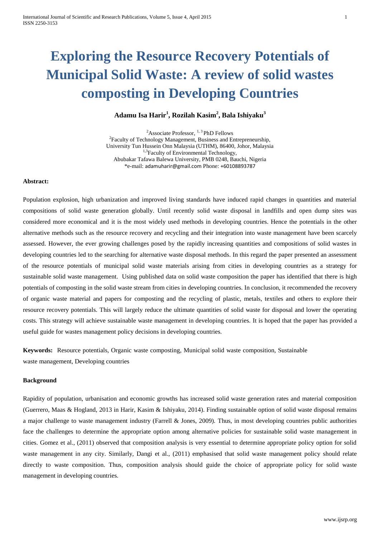# **Exploring the Resource Recovery Potentials of Municipal Solid Waste: A review of solid wastes composting in Developing Countries**

# **Adamu Isa Harir<sup>1</sup> , Rozilah Kasim<sup>2</sup> , Bala Ishiyaku<sup>3</sup>**

 $2$ Associate Professor,  $1, 3$  PhD Fellows <sup>2</sup>Faculty of Technology Management, Business and Entrepreneurship, University Tun Hussein Onn Malaysia (UTHM), 86400, Johor, Malaysia <sup>1,3</sup>Faculty of Environmental Technology, Abubakar Tafawa Balewa University, PMB 0248, Bauchi, Nigeria \*e-mail: [adamuharir@gmail.com](mailto:adamuharir@gmail.com) Phone: [+60108893787](tel:%2B60108837084)

# **Abstract:**

Population explosion, high urbanization and improved living standards have induced rapid changes in quantities and material compositions of solid waste generation globally. Until recently solid waste disposal in landfills and open dump sites was considered more economical and it is the most widely used methods in developing countries. Hence the potentials in the other alternative methods such as the resource recovery and recycling and their integration into waste management have been scarcely assessed. However, the ever growing challenges posed by the rapidly increasing quantities and compositions of solid wastes in developing countries led to the searching for alternative waste disposal methods. In this regard the paper presented an assessment of the resource potentials of municipal solid waste materials arising from cities in developing countries as a strategy for sustainable solid waste management. Using published data on solid waste composition the paper has identified that there is high potentials of composting in the solid waste stream from cities in developing countries. In conclusion, it recommended the recovery of organic waste material and papers for composting and the recycling of plastic, metals, textiles and others to explore their resource recovery potentials. This will largely reduce the ultimate quantities of solid waste for disposal and lower the operating costs. This strategy will achieve sustainable waste management in developing countries. It is hoped that the paper has provided a useful guide for wastes management policy decisions in developing countries.

**Keywords:** Resource potentials, Organic waste composting, Municipal solid waste composition, Sustainable waste management, Developing countries

# **Background**

Rapidity of population, urbanisation and economic growths has increased solid waste generation rates and material composition (Guerrero, Maas & Hogland, 2013 in Harir, Kasim & Ishiyaku, 2014). Finding sustainable option of solid waste disposal remains a major challenge to waste management industry (Farrell & Jones, 2009). Thus, in most developing countries public authorities face the challenges to determine the appropriate option among alternative policies for sustainable solid waste management in cities. Gomez et al., (2011) observed that composition analysis is very essential to determine appropriate policy option for solid waste management in any city. Similarly, Dangi et al., (2011) emphasised that solid waste management policy should relate directly to waste composition. Thus, composition analysis should guide the choice of appropriate policy for solid waste management in developing countries.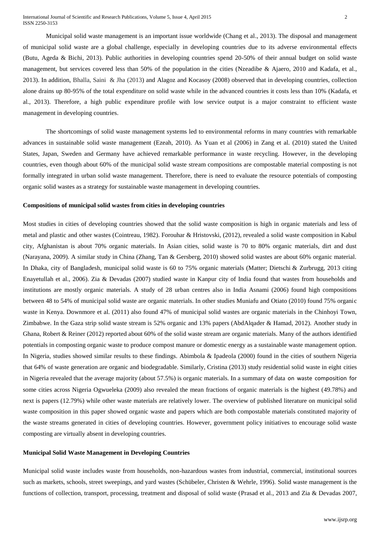Municipal solid waste management is an important issue worldwide (Chang et al., 2013). The disposal and management of municipal solid waste are a global challenge, especially in developing countries due to its adverse environmental effects (Butu, Ageda & Bichi, 2013). Public authorities in developing countries spend 20-50% of their annual budget on solid waste management, but services covered less than 50% of the population in the cities (Nzeadibe & Ajaero, 2010 and Kadafa, et al., 2013). In addition, Bhalla, Saini & Jha (2013) and Alagoz and Kocasoy (2008) observed that in developing countries, collection alone drains up 80-95% of the total expenditure on solid waste while in the advanced countries it costs less than 10% (Kadafa, et al., 2013). Therefore, a high public expenditure profile with low service output is a major constraint to efficient waste management in developing countries.

The shortcomings of solid waste management systems led to environmental reforms in many countries with remarkable advances in sustainable solid waste management (Ezeah, 2010). As Yuan et al (2006) in Zang et al. (2010) stated the United States, Japan, Sweden and Germany have achieved remarkable performance in waste recycling. However, in the developing countries, even though about 60% of the municipal solid waste stream compositions are compostable material composting is not formally integrated in urban solid waste management. Therefore, there is need to evaluate the resource potentials of composting organic solid wastes as a strategy for sustainable waste management in developing countries.

# **Compositions of municipal solid wastes from cities in developing countries**

Most studies in cities of developing countries showed that the solid waste composition is high in organic materials and less of metal and plastic and other wastes [\(Cointreau, 1982\)](http://scialert.net/fulltext/?doi=jest.2011.93.102&org=11#57223_b). Forouhar & Hristovski, (2012), revealed a solid waste composition in Kabul city, Afghanistan is about 70% organic materials. In Asian cities, solid waste is 70 to 80% organic materials, dirt and dust (Narayana, 2009). A similar study in China (Zhang, Tan & Gersberg, 2010) showed solid wastes are about 60% organic material. In Dhaka, city of Bangladesh, municipal solid waste is 60 to 75% organic materials (Matter; Dietschi & Zurbrugg, 2013 citing Enayetullah et al., 2006). Zia & Devadas (2007) studied waste in Kanpur city of India found that wastes from households and institutions are mostly organic materials. A study of 28 urban centres also in India Asnami (2006) found high compositions between 48 to 54% of municipal solid waste are organic materials. In other studies Muniafu and Otiato (2010) found 75% organic waste in Kenya. Downmore et al. (2011) also found 47% of municipal solid wastes are organic materials in the Chinhoyi Town, Zimbabwe. In the Gaza strip solid waste stream is 52% organic and 13% papers (AbdAlqader & Hamad, 2012). Another study in Ghana, Robert & Reiner (2012) reported about 60% of the solid waste stream are organic materials. Many of the authors identified potentials in composting organic waste to produce compost manure or domestic energy as a sustainable waste management option. In Nigeria, studies showed similar results to these findings. Abimbola & Ipadeola (2000) found in the cities of southern Nigeria that 64% of waste generation are organic and biodegradable. Similarly, Cristina (2013) study residential solid waste in eight cities in Nigeria revealed that the average majority (about 57.5%) is organic materials. In a summary of data on waste composition for some cities across Nigeria Ogwueleka (2009) also revealed the mean fractions of organic materials is the highest (49.78%) and next is papers (12.79%) while other waste materials are relatively lower. The overview of published literature on municipal solid waste composition in this paper showed organic waste and papers which are both compostable materials constituted majority of the waste streams generated in cities of developing countries. However, government policy initiatives to encourage solid waste composting are virtually absent in developing countries.

# **Municipal Solid Waste Management in Developing Countries**

Municipal solid waste includes waste from households, non-hazardous wastes from industrial, commercial, institutional sources such as markets, schools, street sweepings, and yard wastes (Schübeler, Christen & Wehrle, 1996). Solid waste management is the functions of collection, transport, processing, treatment and disposal of solid waste (Prasad et al., 2013 and Zia & Devadas 2007,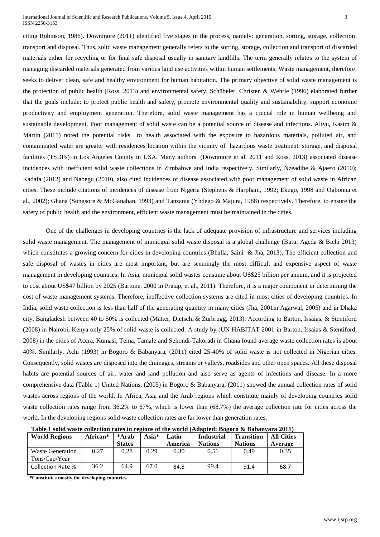International Journal of Scientific and Research Publications, Volume 5, Issue 4, April 2015 3 ISSN 2250-3153

citing Robinson, 1986). Downmore (2011) identified five stages in the process, namely: generation, sorting, storage, collection, transport and disposal. Thus, solid waste management generally refers to the sorting, storage, collection and transport of discarded materials either for recycling or for final safe disposal usually in sanitary landfills. The term generally relates to the system of managing discarded materials generated from various land use activities within human settlements. Waste management, therefore, seeks to deliver clean, safe and healthy environment for human habitation. The primary objective of solid waste management is the protection of public health (Ross, 2013) and environmental safety. Schübeler, Christen & Wehrle (1996) elaborated further that the goals include: to protect public health and safety, promote environmental quality and sustainability, support economic productivity and employment generation. Therefore, solid waste management has a crucial role in human wellbeing and sustainable development. Poor management of solid waste can be a potential source of disease and infections. Aliyu, Kasim & Martin (2011) noted the potential risks to health associated with the exposure to hazardous materials, polluted air, and contaminated water are greater with residences location within the vicinity of hazardous waste treatment, storage, and disposal facilities (TSDFs) in Los Angeles County in USA. Many authors, (Downmore et al. 2011 and Ross, 2013) associated disease incidences with inefficient solid waste collections in Zimbabwe and India respectively. Similarly, Nzeadibe & Ajaero (2010); Kadafa (2012) and Nabegu (2010), also cited incidences of disease associated with poor management of solid waste in African cities. These include citations of incidences of disease from Nigeria (Stephens & Harpham, 1992; Ekugo, 1998 and Ogbonna et al., 2002); Ghana (Songsore & McGanahan, 1993) and Tanzania (Yhdego & Majura, 1988) respectively. Therefore, to ensure the safety of public health and the environment, efficient waste management must be maintained in the cities.

One of the challenges in developing countries is the lack of adequate provision of infrastructure and services including solid waste management. The management of municipal solid waste disposal is a global challenge (Butu, Ageda & Bichi 2013) which constitutes a growing concern for cities in developing countries (Bhalla, Saini & Jha, 2013). The efficient collection and safe disposal of wastes in cities are most important, but are seemingly the most difficult and expensive aspect of waste management in developing countries. In Asia, municipal solid wastes consume about US\$25 billion per annum, and it is projected to cost about US\$47 billion by 2025 (Bartone, 2000 in Pratap, et al., 2011). Therefore, it is a major component in determining the cost of waste management systems. Therefore, ineffective collection systems are cited in most cities of developing countries. In India, solid waste collection is less than half of the generating quantity in many cities (Jha, 2001in Agarwal, 2005) and in Dhaka city, Bangladesh between 40 to 50% is collected (Matter, Dietschi & Zurbrugg, 2013). According to Barton, Issaias, & Stentiford (2008) in Nairobi, Kenya only 25% of solid waste is collected. A study by [\(UN HABITAT 2001](http://www.sciencedirect.com/science/article/pii/S0956053X0700342X#bib33) in Barton, Issaias & Stentiford, 2008) in the cities of Accra, Kumasi, Tema, Tamale and Sekondi-Takoradi in Ghana found average waste collection rates is about 40%. Similarly, Achi (1993) in Bogoro & Babanyara, (2011) cited 25-40% of solid waste is not collected in Nigerian cities. Consequently, solid wastes are disposed into the drainages, streams or valleys, roadsides and other open spaces. All these disposal habits are potential sources of air, water and land pollution and also serve as agents of infections and disease. In a more comprehensive data (Table 1) United Nations, (2005) in Bogoro & Babanyara, (2011) showed the annual collection rates of solid wastes across regions of the world. In Africa, Asia and the Arab regions which constitute mainly of developing countries solid waste collection rates range from 36.2% to 67%, which is lower than (68.7%) the average collection rate for cities across the world. In the developing regions solid waste collection rates are far lower than generation rates.

| Table I song wasit conceiton rates in regions of the world (Auapteu, Dogoro & Dabanyara 2011) |          |               |       |         |                   |                   |                   |
|-----------------------------------------------------------------------------------------------|----------|---------------|-------|---------|-------------------|-------------------|-------------------|
| <b>World Regions</b>                                                                          | African* | *Arab         | Asia* | Latin   | <b>Industrial</b> | <b>Transition</b> | <b>All Cities</b> |
|                                                                                               |          | <b>States</b> |       | America | <b>Nations</b>    | <b>Nations</b>    | Average           |
| <b>Waste Generation</b><br>Tons/Cap/Year                                                      | 0.27     | 0.28          | 0.29  | 0.30    | 0.51              | 0.49              | 0.35              |
| Collection Rate %                                                                             | 36.2     | 64.9          | 67.0  | 84.8    | 99.4              | 91.4              | 68.7              |

 **Table 1 solid waste collection rates in regions of the world (Adapted: Bogoro & Babanyara 2011)**

 **\*Constitutes mostly the developing countries**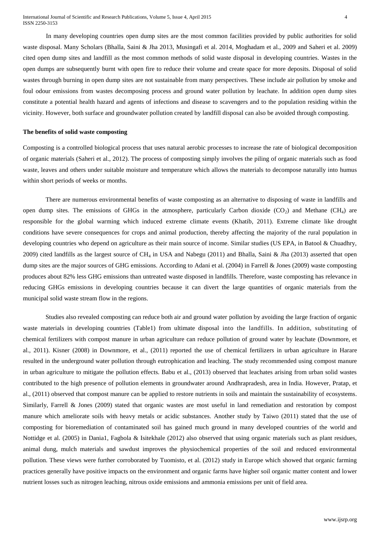In many developing countries open dump sites are the most common facilities provided by public authorities for solid waste disposal. Many Scholars (Bhalla, Saini & Jha 2013, Musingafi et al. 2014, Moghadam et al., 2009 and Saheri et al. 2009) cited open dump sites and landfill as the most common methods of solid waste disposal in developing countries. Wastes in the open dumps are subsequently burnt with open fire to reduce their volume and create space for more deposits. Disposal of solid wastes through burning in open dump sites are not sustainable from many perspectives. These include air pollution by smoke and foul odour emissions from wastes decomposing process and ground water pollution by leachate. In addition open dump sites constitute a potential health hazard and agents of infections and disease to scavengers and to the population residing within the vicinity. However, both surface and groundwater pollution created by landfill disposal can also be avoided through composting.

#### **The benefits of solid waste composting**

Composting is a controlled biological process that uses natural aerobic processes to increase the rate of biological decomposition of organic materials (Saheri et al., 2012). The process of composting simply involves the piling of organic materials such as food waste, leaves and others under suitable moisture and temperature which allows the materials to decompose naturally into [humus](http://www.ask.com/allabout?q=Humus&qsrc=470) within short periods of weeks or months.

There are numerous environmental benefits of waste composting as an alternative to disposing of waste in landfills and open dump sites. The emissions of GHGs in the atmosphere, particularly Carbon dioxide  $(CO<sub>2</sub>)$  and Methane  $(CH<sub>4</sub>)$  are responsible for the global warming which induced extreme climate events (Khatib, 2011). Extreme climate like drought conditions have severe consequences for crops and animal production, thereby affecting the majority of the rural population in developing countries who depend on agriculture as their main source of income. Similar studies (US EPA, in Batool & Chuadhry, 2009) cited landfills as the largest source of CH<sub>4</sub> in USA and Nabegu (2011) and Bhalla, Saini & Jha (2013) asserted that open dump sites are the major sources of GHG emissions. According to Adani et al. (2004) in Farrell & Jones (2009) waste composting produces about 82% less GHG emissions than untreated waste disposed in landfills. Therefore, waste composting has relevance in reducing GHGs emissions in developing countries because it can divert the large quantities of organic materials from the municipal solid waste stream flow in the regions.

Studies also revealed composting can reduce both air and ground water pollution by avoiding the large fraction of organic waste materials in developing countries (Table1) from ultimate disposal into the landfills. In addition, substituting of chemical fertilizers with compost manure in urban agriculture can reduce pollution of ground water by leachate (Downmore, et al., 2011). Kisner (2008) in Downmore, et al., (2011) reported the use of chemical fertilizers in urban agriculture in Harare resulted in the underground water pollution through eutrophication and leaching. The study recommended using compost manure in urban agriculture to mitigate the pollution effects. Babu et al., (2013) observed that leachates arising from urban solid wastes contributed to the high presence of pollution elements in groundwater around Andhrapradesh, area in India. However, Pratap, et al., (2011) observed that compost manure can be applied to restore nutrients in soils and maintain the sustainability of ecosystems. Similarly, Farrell & Jones (2009) stated that organic wastes are most useful in land remediation and restoration by compost manure which ameliorate soils with heavy metals or acidic substances. Another study by Taiwo (2011) stated that the use of composting for bioremediation of contaminated soil has gained much ground in many developed countries of the world and Nottidge et al. (2005) in Dania1, Fagbola & Isitekhale (2012) also observed that using organic materials such as plant residues, animal dung, mulch materials and sawdust improves the physiochemical properties of the soil and reduced environmental pollution. These views were further corroborated by Tuomisto, et al. (2012) study in Europe which showed that organic farming practices generally have positive impacts on the environment and organic farms have higher soil organic matter content and lower nutrient losses such as nitrogen leaching, nitrous oxide emissions and ammonia emissions per unit of field area.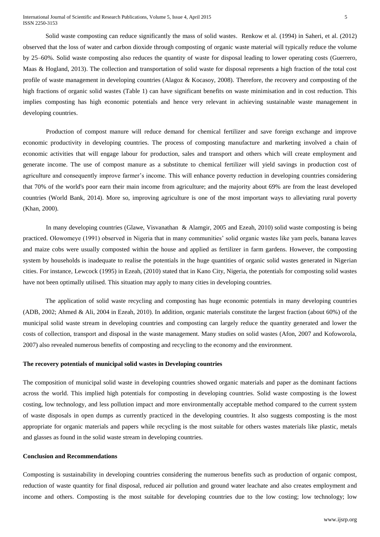Solid waste composting can reduce significantly the mass of solid wastes. Renkow et al. (1994) in Saheri, et al. (2012) observed that the loss of water and carbon dioxide through composting of organic waste material will typically reduce the volume by 25–60%. Solid waste composting also reduces the quantity of waste for disposal leading to lower operating costs (Guerrero, Maas & Hogland, 2013). The collection and transportation of solid waste for disposal represents a high fraction of the total cost profile of waste management in developing countries (Alagoz & Kocasoy, 2008). Therefore, the recovery and composting of the high fractions of organic solid wastes (Table 1) can have significant benefits on waste minimisation and in cost reduction. This implies composting has high economic potentials and hence very relevant in achieving sustainable waste management in [developing countries.](http://www.scialert.net/asci/result.php?searchin=Keywords&cat=&ascicat=ALL&Submit=Search&keyword=developing+countries)

Production of compost manure will reduce demand for chemical fertilizer and save foreign exchange and improve economic productivity in [developing countries.](http://www.scialert.net/asci/result.php?searchin=Keywords&cat=&ascicat=ALL&Submit=Search&keyword=developing+countries) The process of composting manufacture and marketing involved a chain of economic activities that will engage labour for production, sales and transport and others which will create employment and generate income. The use of compost manure as a substitute to chemical fertilizer will yield savings in production cost of agriculture and consequently improve farmer's income. This will enhance poverty reduction in developing countries considering that 70% of the world's poor earn their main income from agriculture; and the majority about 69% are from the least developed countries (World Bank, 2014). More so, improving agriculture is one of the most important ways to alleviating rural poverty [\(Khan,](http://www.imf.org/external/pubs/ft/fandd/2000/12/khan.htm#author) 2000).

In many developing countries (Glawe, Visvanathan & Alamgir, 2005 and Ezeah, 2010) solid waste composting is being practiced. Olowomeye (1991) observed in Nigeria that in many communities' solid organic wastes like yam peels, banana leaves and maize cobs were usually composted within the house and applied as fertilizer in farm gardens. However, the composting system by households is inadequate to realise the potentials in the huge quantities of organic solid wastes generated in Nigerian cities. For instance, Lewcock (1995) in Ezeah, (2010) stated that in Kano City, Nigeria, the potentials for composting solid wastes have not been optimally utilised. This situation may apply to many cities in developing countries.

The application of solid waste recycling and composting has huge economic potentials in many developing countries (ADB, 2002; Ahmed & Ali, 2004 in Ezeah, 2010). In addition, organic materials constitute the largest fraction (about 60%) of the municipal solid waste stream in developing countries and composting can largely reduce the quantity generated and lower the costs of collection, transport and disposal in the waste management. Many studies on solid wastes (Afon, 2007 and Kofoworola, 2007) also revealed numerous benefits of composting and recycling to the economy and the environment.

# **The recovery potentials of municipal solid wastes in Developing countries**

The composition of municipal solid waste in developing countries showed organic materials and paper as the dominant factions across the world. This implied high potentials for composting in developing countries. Solid waste composting is the lowest costing, low technology, and less pollution impact and more environmentally acceptable method compared to the current system of waste disposals in open dumps as currently practiced in the developing countries. It also suggests composting is the most appropriate for organic materials and papers while recycling is the most suitable for others wastes materials like plastic, metals and glasses as found in the solid waste stream in developing countries.

#### **Conclusion and Recommendations**

Composting is sustainability in developing countries considering the numerous benefits such as production of organic compost, reduction of waste quantity for final disposal, reduced air pollution and ground water leachate and also creates employment and income and others. Composting is the most suitable for developing countries due to the low costing; low technology; low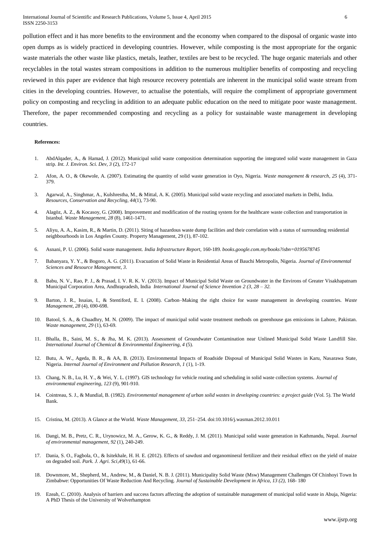pollution effect and it has more benefits to the environment and the economy when compared to the disposal of organic waste into open dumps as is widely practiced in developing countries. However, while composting is the most appropriate for the organic waste materials the other waste like plastics, metals, leather, textiles are best to be recycled. The huge organic materials and other recyclables in the total wastes stream compositions in addition to the numerous multiplier benefits of composting and recycling reviewed in this paper are evidence that high resource recovery potentials are inherent in the municipal solid waste stream from cities in the developing countries. However, to actualise the potentials, will require the compliment of appropriate government policy on composting and recycling in addition to an adequate public education on the need to mitigate poor waste management. Therefore, the paper recommended composting and recycling as a policy for sustainable waste management in developing countries.

#### **References:**

- 1. AbdAlqader, A., & Hamad, J. (2012). Municipal solid waste composition determination supporting the integrated solid waste management in Gaza strip. *Int. J. Environ. Sci. Dev*, *3* (2), 172-17
- 2. Afon, A. O., & Okewole, A. (2007). Estimating the quantity of solid waste generation in Oyo, Nigeria. *Waste management & research*, *25* (4), 371- 379.
- 3. Agarwal, A., Singhmar, A., Kulshrestha, M., & Mittal, A. K. (2005). Municipal solid waste recycling and associated markets in Delhi, India. *Resources, Conservation and Recycling*, *44*(1), 73-90.
- 4. Alagöz, A. Z., & Kocasoy, G. (2008). Improvement and modification of the routing system for the healthcare waste collection and transportation in Istanbul. *Waste Management*, *28* (8), 1461-1471.
- 5. Aliyu, A. A., Kasim, R., & Martin, D. (2011). Siting of hazardous waste dump facilities and their correlation with a status of surrounding residential neighbourhoods in Los Angeles County. Property Management, 29 (1), 87-102.
- 6. Asnani, P. U. (2006). Solid waste management. *India Infrastructure Report*, 160-189. *books.google.com.my/books?isbn=0195678745*
- 7. Babanyara, Y. Y., & Bogoro, A. G. (2011). Evacuation of Solid Waste in Residential Areas of Bauchi Metropolis, Nigeria. *Journal of Environmental Sciences and Resource Management*, *3*.
- 8. Babu, N. V., Rao, P. J., & Prasad, I. V. R. K. V. (2013). Impact of Municipal Solid Waste on Groundwater in the Environs of Greater Visakhapatnam Municipal Corporation Area, Andhrapradesh, India *International Journal of Science Invention 2 (3, 28 – 32.*
- 9. Barton, J. R., Issaias, I., & Stentiford, E. I. (2008). Carbon–Making the right choice for waste management in developing countries. *Waste Management*, *28* (4), 690-698.
- 10. Batool, S. A., & Chuadhry, M. N. (2009). The impact of municipal solid waste treatment methods on greenhouse gas emissions in Lahore, Pakistan. *Waste management*, *29* (1), 63-69.
- 11. Bhalla, B., Saini, M. S., & Jha, M. K. (2013). Assessment of Groundwater Contamination near Unlined Municipal Solid Waste Landfill Site. *International Journal of Chemical & Environmental Engineering*, *4* (5).
- 12. Butu, A. W., Ageda, B. R., & AA, B. (2013). Environmental Impacts of Roadside Disposal of Municipal Solid Wastes in Karu, Nasarawa State, Nigeria. *Internal Journal of Environment and Pollution Research*, *1* (1), 1-19.
- 13. Chang, N. B., Lu, H. Y., & Wei, Y. L. (1997). GIS technology for vehicle routing and scheduling in solid waste collection systems. *Journal of environmental engineering*, *123* (9), 901-910.
- 14. Cointreau, S. J., & Mundial, B. (1982). *Environmental management of urban solid wastes in developing countries: a project guide* (Vol. 5). The World Bank.
- 15. Cristina, M. (2013). A Glance at the World. *Waste Management*, *33*, 251–254. doi:10.1016/j.wasman.2012.10.011
- 16. Dangi, M. B., Pretz, C. R., Urynowicz, M. A., Gerow, K. G., & Reddy, J. M. (2011). Municipal solid waste generation in Kathmandu, Nepal. *Journal of environmental management*, *92* (1), 240-249.
- 17. Dania, S. O., Fagbola, O., & Isitekhale, H. H. E. (2012). Effects of sawdust and organomineral fertilizer and their residual effect on the yield of maize on degraded soil. *Park. J. Agri. Sci*,*49*(1), 61-66.
- 18. Downmore, M., Shepherd, M., Andrew, M., & Daniel, N. B. J. (2011). Municipality Solid Waste (Msw) Management Challenges Of Chinhoyi Town In Zimbabwe: Opportunities Of Waste Reduction And Recycling. *Journal of Sustainable Development in Africa, 13 (2),* 168- 180
- 19. Ezeah, C. (2010). Analysis of barriers and success factors affecting the adoption of sustainable management of municipal solid waste in Abuja, Nigeria: A PhD Thesis of the University of Wolverhampton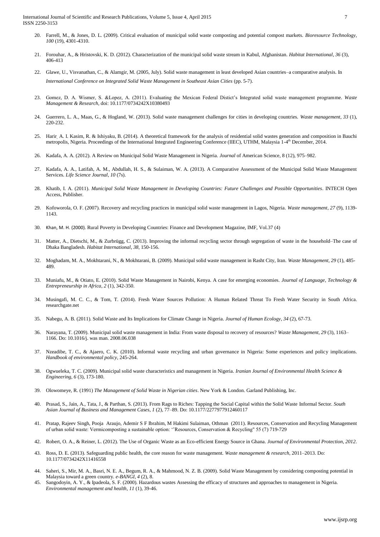International Journal of Scientific and Research Publications, Volume 5, Issue 4, April 2015 7 ISSN 2250-3153

- 20. Farrell, M., & Jones, D. L. (2009). Critical evaluation of municipal solid waste composting and potential compost markets. *Bioresource Technology*, *100* (19), 4301-4310.
- 21. Forouhar, A., & Hristovski, K. D. (2012). Characterization of the municipal solid waste stream in Kabul, Afghanistan. *Habitat International*, *36* (3), 406-413
- 22. Glawe, U., Visvanathan, C., & Alamgir, M. (2005, July). Solid waste management in least developed Asian countries–a comparative analysis. In *International Conference on Integrated Solid Waste Management in Southeast Asian Cities* (pp. 5-7).
- 23. Gomez, D. A. Wismer, S. &Lopez, A. (2011). Evaluating the Mexican Federal Distict's Integrated solid waste management programme. *Waste Management & Research*, doi: 10.1177/0734242X10380493
- 24. Guerrero, L. A., Maas, G., & Hogland, W. (2013). Solid waste management challenges for cities in developing countries. *Waste management*, *33* (1), 220-232.
- 25. Harir, A. I. Kasim, R. & Ishiyaku, B. (2014). A theoretical framework for the analysis of residential solid wastes generation and composition in Bauchi metropolis, Nigeria. Proceedings of the International Integrated Engineering Conference (IIEC), UTHM, Malaysia 1-4<sup>th</sup> December, 2014.
- 26. Kadafa, A. A. (2012). A Review on Municipal Solid Waste Management in Nigeria. *Journal* of American Science, 8 (12), 975–982.
- 27. Kadafa, A. A., Latifah, A. M., Abdullah, H. S., & Sulaiman, W. A. (2013). A Comparative Assessment of the Municipal Solid Waste Management Services. *Life Science Journal*, *10* (7s).
- 28. Khatib, I. A. (2011). *Municipal Solid Waste Management in Developing Countries: Future Challenges and Possible Opportunities*. INTECH Open Access, Publisher.
- 29. Kofoworola, O. F. (2007). Recovery and recycling practices in municipal solid waste management in Lagos, Nigeria. *Waste management*, *27* (9), 1139- 1143.
- 30. Khan, M. H. (2000). Rural Poverty in Developing Countries: Finance and Development Magazine, IMF, Vol.37 (4)
- 31. Matter, A., Dietschi, M., & Zurbrügg, C. (2013). Improving the informal recycling sector through segregation of waste in the household–The case of Dhaka Bangladesh. *Habitat International*, *38*, 150-156.
- 32. Moghadam, M. A., Mokhtarani, N., & Mokhtarani, B. (2009). Municipal solid waste management in Rasht City, Iran. *Waste Management*, *29* (1), 485- 489.
- 33. Muniafu, M., & Otiato, E. (2010). Solid Waste Management in Nairobi, Kenya. A case for emerging economies. *Journal of Language, Technology & Entrepreneurship in Africa*, *2* (1), 342-350.
- 34. Musingafi, M. C. C., & Tom, T. (2014). Fresh Water Sources Pollution: A Human Related Threat To Fresh Water Security in South Africa. researchgate.net
- 35. Nabegu, A. B. (2011). Solid Waste and Its Implications for Climate Change in Nigeria. *Journal of Human Ecology*, *34* (2), 67-73.
- 36. Narayana, T. (2009). Municipal solid waste management in India: From waste disposal to recovery of resources? *Waste Management*, *29* (3), 1163– 1166. Do: 10.1016/j. was man. 2008.06.038
- 37. Nzeadibe, T. C., & Ajaero, C. K. (2010). Informal waste recycling and urban governance in Nigeria: Some experiences and policy implications. *Handbook of environmental policy*, 245-264.
- 38. Ogwueleka, T. C. (2009). Municipal solid waste characteristics and management in Nigeria. *Iranian Journal of Environmental Health Science & Engineering*, *6* (3), 173-180.
- 39. Olowomeye, R. (1991) *The Management of Solid Waste in Nigerian cities*. New York & London. Garland Publishing, Inc.
- 40. Prasad, S., Jain, A., Tata, J., & Parthan, S. (2013). From Rags to Riches: Tapping the Social Capital within the Solid Waste Informal Sector. *South Asian Journal of Business and Management Cases*, *1* (2), 77–89. Do: 10.1177/2277977912460117
- 41. Pratap, Rajeev Singh, Pooja Araujo, Ademir S F Ibrahim, M Hakimi Sulaiman, Othman (2011). Resources, Conservation and Recycling Management of urban solid waste: Vermicomposting a sustainable option: ''Resources, Conservation & Recycling" 55 (7) 719-729
- 42. Robert, O. A., & Reiner, L. (2012). The Use of Organic Waste as an Eco-efficient Energy Source in Ghana. *Journal of Environmental Protection*, *2012*.
- 43. Ross, D. E. (2013). Safeguarding public health, the core reason for waste management. *Waste management & research*, 2011–2013. Do: 10.1177/0734242X11416558
- 44. Saheri, S., Mir, M. A., Basri, N. E. A., Begum, R. A., & Mahmood, N. Z. B. (2009). Solid Waste Management by considering composting potential in Malaysia toward a green country. *e-BANGI*, *4* (2), 8.
- Sangodoyin, A. Y., & Ipadeola, S. F. (2000). Hazardous wastes Assessing the efficacy of structures and approaches to management in Nigeria. *Environmental management and health*, *11* (1), 39-46.